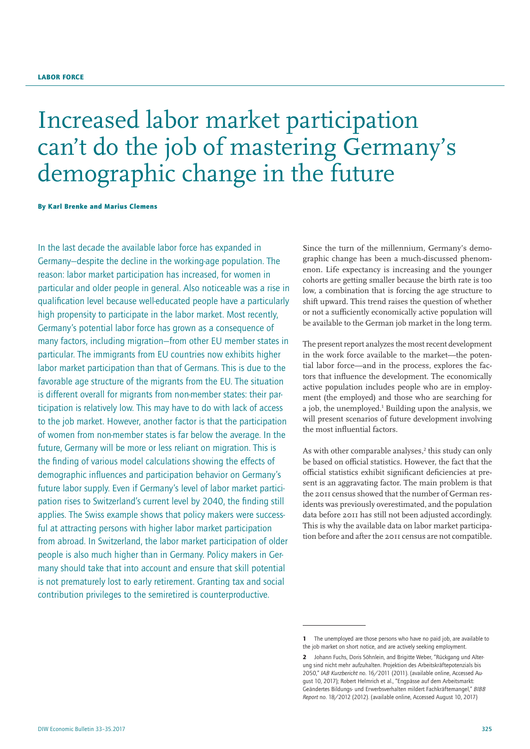# Increased labor market participation can't do the job of mastering Germany's demographic change in the future

By Karl Brenke and Marius Clemens

In the last decade the available labor force has expanded in Germany—despite the decline in the working-age population. The reason: labor market participation has increased, for women in particular and older people in general. Also noticeable was a rise in qualification level because well-educated people have a particularly high propensity to participate in the labor market. Most recently, Germany's potential labor force has grown as a consequence of many factors, including migration—from other EU member states in particular. The immigrants from EU countries now exhibits higher labor market participation than that of Germans. This is due to the favorable age structure of the migrants from the EU. The situation is different overall for migrants from non-member states: their participation is relatively low. This may have to do with lack of access to the job market. However, another factor is that the participation of women from non-member states is far below the average. In the future, Germany will be more or less reliant on migration. This is the finding of various model calculations showing the effects of demographic influences and participation behavior on Germany's future labor supply. Even if Germany's level of labor market participation rises to Switzerland's current level by 2040, the finding still applies. The Swiss example shows that policy makers were successful at attracting persons with higher labor market participation from abroad. In Switzerland, the labor market participation of older people is also much higher than in Germany. Policy makers in Germany should take that into account and ensure that skill potential is not prematurely lost to early retirement. Granting tax and social contribution privileges to the semiretired is counterproductive.

Since the turn of the millennium, Germany's demographic change has been a much-discussed phenomenon. Life expectancy is increasing and the younger cohorts are getting smaller because the birth rate is too low, a combination that is forcing the age structure to shift upward. This trend raises the question of whether or not a sufficiently economically active population will be available to the German job market in the long term.

The present report analyzes the most recent development in the work force available to the market—the potential labor force—and in the process, explores the factors that influence the development. The economically active population includes people who are in employment (the employed) and those who are searching for a job, the unemployed.<sup>1</sup> Building upon the analysis, we will present scenarios of future development involving the most influential factors.

As with other comparable analyses,<sup>2</sup> this study can only be based on official statistics. However, the fact that the official statistics exhibit significant deficiencies at present is an aggravating factor. The main problem is that the 2011 census showed that the number of German residents was previously overestimated, and the population data before 2011 has still not been adjusted accordingly. This is why the available data on labor market participation before and after the 2011 census are not compatible.

The unemployed are those persons who have no paid job, are available to the job market on short notice, and are actively seeking employment.

<sup>2</sup> Johann Fuchs, Doris Söhnlein, and Brigitte Weber, "Rückgang und Alterung sind nicht mehr aufzuhalten. Projektion des Arbeitskräftepotenzials bis 2050," *IAB Kurzbericht* no. 16/2011 (2011). ([available online,](http://www.iab.de/194/section.aspx/Publikation/k110721n01) Accessed August 10, 2017); Robert Helmrich et al., "Engpässe auf dem Arbeitsmarkt: Geändertes Bildungs- und Erwerbsverhalten mildert Fachkräftemangel," *BIBB Report* no. 18/2012 (2012). ([available online,](https://www.bibb.de/dokumente/pdf/a12_bibbreport_2012_18.pdf) Accessed August 10, 2017)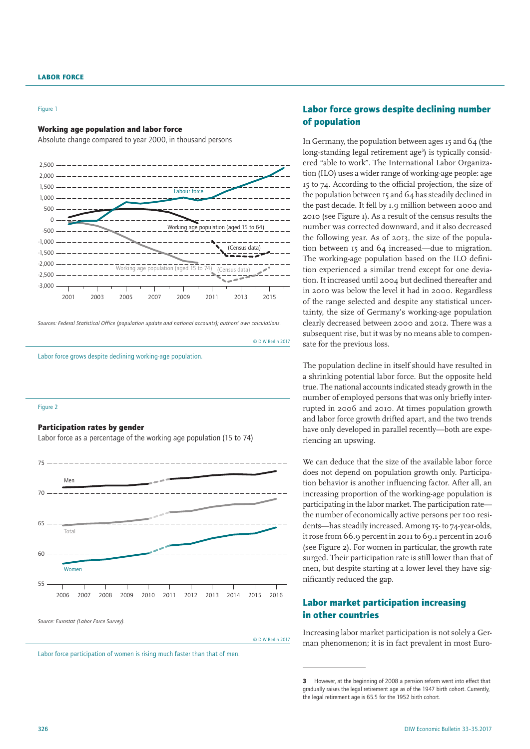#### Figure 1

#### Working age population and labor force

Absolute change compared to year 2000, in thousand persons



*Sources: Federal Statistical Office (population update and national accounts); authors' own calculations.*

Labor force grows despite declining working-age population.

#### Figure 2

## Participation rates by gender

Labor force as a percentage of the working age population (15 to 74)



© DIW Berlin 2017

© DIW Berlin 2017

Labor force participation of women is rising much faster than that of men.

# Labor force grows despite declining number of population

In Germany, the population between ages 15 and 64 (the long-standing legal retirement age<sup>3</sup>) is typically considered "able to work". The International Labor Organization (ILO) uses a wider range of working-age people: age 15 to 74. According to the official projection, the size of the population between 15 and 64 has steadily declined in the past decade. It fell by 1.9 million between 2000 and 2010 (see Figure 1). As a result of the census results the number was corrected downward, and it also decreased the following year. As of 2013, the size of the population between 15 and 64 increased—due to migration. The working-age population based on the ILO definition experienced a similar trend except for one deviation. It increased until 2004 but declined thereafter and in 2010 was below the level it had in 2000. Regardless of the range selected and despite any statistical uncertainty, the size of Germany's working-age population clearly decreased between 2000 and 2012. There was a subsequent rise, but it was by no means able to compensate for the previous loss.

The population decline in itself should have resulted in a shrinking potential labor force. But the opposite held true. The national accounts indicated steady growth in the number of employed persons that was only briefly interrupted in 2006 and 2010. At times population growth and labor force growth drifted apart, and the two trends have only developed in parallel recently—both are experiencing an upswing.

We can deduce that the size of the available labor force does not depend on population growth only. Participation behavior is another influencing factor. After all, an increasing proportion of the working-age population is participating in the labor market. The participation rate the number of economically active persons per 100 residents—has steadily increased. Among 15- to 74-year-olds, it rose from 66.9 percent in 2011 to 69.1 percent in 2016 (see Figure 2). For women in particular, the growth rate surged. Their participation rate is still lower than that of men, but despite starting at a lower level they have significantly reduced the gap.

# Labor market participation increasing in other countries

Increasing labor market participation is not solely a German phenomenon; it is in fact prevalent in most Euro-

<sup>3</sup> However, at the beginning of 2008 a pension reform went into effect that gradually raises the legal retirement age as of the 1947 birth cohort. Currently, the legal retirement age is 65.5 for the 1952 birth cohort.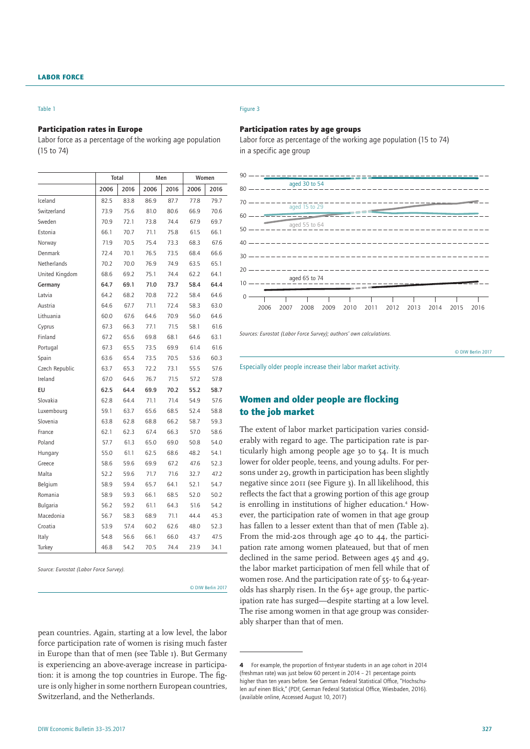#### Table 1

### Participation rates in Europe

Figure 3

## Labor force as a percentage of the working age population (15 to 74)

|                | Total |      |      | Men  | Women |      |  |
|----------------|-------|------|------|------|-------|------|--|
|                | 2006  | 2016 | 2006 | 2016 | 2006  | 2016 |  |
| Iceland        | 82.5  | 83.8 | 86.9 | 87.7 | 77.8  | 79.7 |  |
| Switzerland    | 73.9  | 75.6 | 81.0 | 80.6 | 66.9  | 70.6 |  |
| Sweden         | 70.9  | 72.1 | 73.8 | 74.4 | 67.9  | 69.7 |  |
| Estonia        | 66.1  | 70.7 | 71.1 | 75.8 | 61.5  | 66.1 |  |
| Norway         | 71.9  | 70.5 | 75.4 | 73.3 | 68.3  | 67.6 |  |
| Denmark        | 72.4  | 70.1 | 76.5 | 73.5 | 68.4  | 66.6 |  |
| Netherlands    | 70.2  | 70.0 | 76.9 | 74.9 | 63.5  | 65.1 |  |
| United Kingdom | 68.6  | 69.2 | 75.1 | 74.4 | 62.2  | 64.1 |  |
| Germany        | 64.7  | 69.1 | 71.0 | 73.7 | 58.4  | 64.4 |  |
| Latvia         | 64.2  | 68.2 | 70.8 | 72.2 | 58.4  | 64.6 |  |
| Austria        | 64.6  | 67.7 | 71.1 | 72.4 | 58.3  | 63.0 |  |
| Lithuania      | 60.0  | 67.6 | 64.6 | 70.9 | 56.0  | 64.6 |  |
| Cyprus         | 67.3  | 66.3 | 77.1 | 71.5 | 58.1  | 61.6 |  |
| Finland        | 67.2  | 65.6 | 69.8 | 68.1 | 64.6  | 63.1 |  |
| Portugal       | 67.3  | 65.5 | 73.5 | 69.9 | 61.4  | 61.6 |  |
| Spain          | 63.6  | 65.4 | 73.5 | 70.5 | 53.6  | 60.3 |  |
| Czech Republic | 63.7  | 65.3 | 72.2 | 73.1 | 55.5  | 57.6 |  |
| Ireland        | 67.0  | 64.6 | 76.7 | 71.5 | 57.2  | 57.8 |  |
| EU             | 62.5  | 64.4 | 69.9 | 70.2 | 55.2  | 58.7 |  |
| Slovakia       | 62.8  | 64.4 | 71.1 | 71.4 | 54.9  | 57.6 |  |
| Luxembourg     | 59.1  | 63.7 | 65.6 | 68.5 | 52.4  | 58.8 |  |
| Slovenia       | 63.8  | 62.8 | 68.8 | 66.2 | 58.7  | 59.3 |  |
| France         | 62.1  | 62.3 | 67.4 | 66.3 | 57.0  | 58.6 |  |
| Poland         | 57.7  | 61.3 | 65.0 | 69.0 | 50.8  | 54.0 |  |
| Hungary        | 55.0  | 61.1 | 62.5 | 68.6 | 48.2  | 54.1 |  |
| Greece         | 58.6  | 59.6 | 69.9 | 67.2 | 47.6  | 52.3 |  |
| Malta          | 52.2  | 59.6 | 71.7 | 71.6 | 32.7  | 47.2 |  |
| Belgium        | 58.9  | 59.4 | 65.7 | 64.1 | 52.1  | 54.7 |  |
| Romania        | 58.9  | 59.3 | 66.1 | 68.5 | 52.0  | 50.2 |  |
| Bulgaria       | 56.2  | 59.2 | 61.1 | 64.3 | 51.6  | 54.2 |  |
| Macedonia      | 56.7  | 58.3 | 68.9 | 71.1 | 44.4  | 45.3 |  |
| Croatia        | 53.9  | 57.4 | 60.2 | 62.6 | 48.0  | 52.3 |  |
| Italy          | 54.8  | 56.6 | 66.1 | 66.0 | 43.7  | 47.5 |  |
| Turkey         | 46.8  | 54.2 | 70.5 | 74.4 | 23.9  | 34.1 |  |

*Source: Eurostat (Labor Force Survey).*

© DIW Berlin 2017

pean countries. Again, starting at a low level, the labor force participation rate of women is rising much faster in Europe than that of men (see Table 1). But Germany is experiencing an above-average increase in participation: it is among the top countries in Europe. The figure is only higher in some northern European countries, Switzerland, and the Netherlands.

## Participation rates by age groups

Labor force as percentage of the working age population (15 to 74) in a specific age group



*Sources: Eurostat (Labor Force Survey); authors' own calculations.*

© DIW Berlin 2017

Especially older people increase their labor market activity.

# Women and older people are flocking to the job market

The extent of labor market participation varies considerably with regard to age. The participation rate is particularly high among people age 30 to 54. It is much lower for older people, teens, and young adults. For persons under 29, growth in participation has been slightly negative since 2011 (see Figure 3). In all likelihood, this reflects the fact that a growing portion of this age group is enrolling in institutions of higher education.<sup>4</sup> However, the participation rate of women in that age group has fallen to a lesser extent than that of men (Table 2). From the mid-20s through age 40 to 44, the participation rate among women plateaued, but that of men declined in the same period. Between ages 45 and 49, the labor market participation of men fell while that of women rose. And the participation rate of 55- to 64-yearolds has sharply risen. In the 65+ age group, the participation rate has surged—despite starting at a low level. The rise among women in that age group was considerably sharper than that of men.

<sup>4</sup> For example, the proportion of first-year students in an age cohort in 2014 (freshman rate) was just below 60 percent in 2014 – 21 percentage points higher than ten years before. See German Federal Statistical Office, "Hochschulen auf einen Blick," (PDF, German Federal Statistical Office, Wiesbaden, 2016). [\(available online,](https://www.destatis.de/DE/Publikationen/Thematisch/BildungForschungKultur/Hochschulen/BroschuereHochschulenBlick0110010167004.pdf%253F__blob%253DpublicationFile) Accessed August 10, 2017)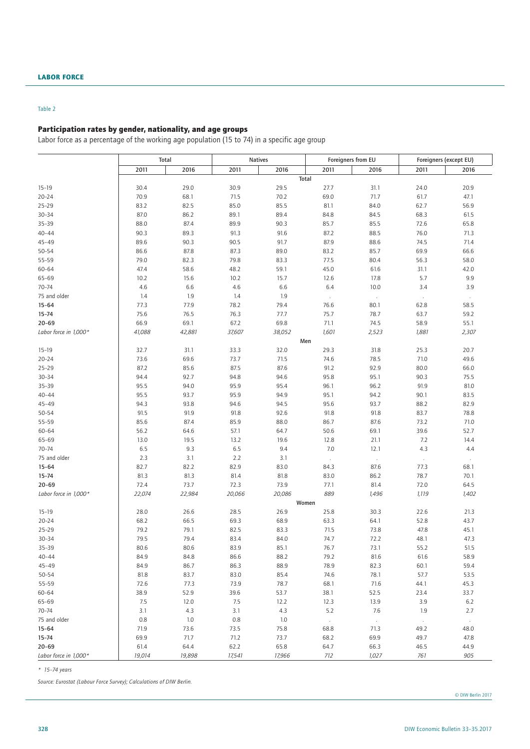# Table 2

# Participation rates by gender, nationality, and age groups

Labor force as a percentage of the working age population (15 to 74) in a specific age group

|                           | Total      |            | <b>Natives</b> |            |                   | Foreigners from EU    | Foreigners (except EU) |                |  |
|---------------------------|------------|------------|----------------|------------|-------------------|-----------------------|------------------------|----------------|--|
|                           | 2011       | 2016       | 2011           | 2016       | 2011              | 2016                  | 2011                   | 2016           |  |
|                           |            |            |                |            | Total             |                       |                        |                |  |
| $15 - 19$                 | 30.4       | 29.0       | 30.9           | 29.5       | 27.7              | 31.1                  | 24.0                   | 20.9           |  |
| $20 - 24$                 | 70.9       | 68.1       | 71.5           | 70.2       | 69.0              | 71.7                  | 61.7                   | 47.1           |  |
| $25 - 29$                 | 83.2       | 82.5       | 85.0           | 85.5       | 81.1              | 84.0                  | 62.7                   | 56.9           |  |
| $30 - 34$                 | 87.0       | 86.2       | 89.1           | 89.4       | 84.8              | 84.5                  | 68.3                   | 61.5           |  |
| $35 - 39$                 | 88.0       | 87.4       | 89.9           | 90.3       | 85.7              | 85.5                  | 72.6                   | 65.8           |  |
| $40 - 44$                 | 90.3       | 89.3       | 91.3           | 91.6       | 87.2              | 88.5                  | 76.0                   | 71.3           |  |
| $45 - 49$                 | 89.6       | 90.3       | 90.5           | 91.7       | 87.9              | 88.6                  | 74.5                   | 71.4           |  |
| 50-54                     | 86.6       | 87.8       | 87.3           | 89.0       | 83.2              | 85.7                  | 69.9                   | 66.6           |  |
| 55-59                     | 79.0       | 82.3       | 79.8           | 83.3       | 77.5              | 80.4                  | 56.3                   | 58.0           |  |
| 60-64                     | 47.4       | 58.6       | 48.2           | 59.1       | 45.0              | 61.6                  | 31.1                   | 42.0           |  |
| 65-69                     | 10.2       | 15.6       | 10.2           | 15.7       | 12.6              | 17.8                  | 5.7                    | 9.9            |  |
| $70 - 74$                 | 4.6        | 6.6        | 4.6            | 6.6        | 6.4               | 10.0                  | 3.4                    | 3.9            |  |
| 75 and older              | 1.4        | 1.9        | 1.4            | 1.9        | $\sim$            | $\sim$                | $\sim$                 | $\sim$         |  |
| $15 - 64$                 | 77.3       | 77.9       | 78.2           | 79.4       | 76.6              | 80.1                  | 62.8                   | 58.5           |  |
| $15 - 74$                 | 75.6       | 76.5       | 76.3           | 77.7       | 75.7              | 78.7                  | 63.7                   | 59.2           |  |
| $20 - 69$                 | 66.9       | 69.1       | 67.2           | 69.8       | 71.1              | 74.5                  | 58.9                   | 55.1           |  |
| Labor force in 1,000*     | 41,088     | 42,881     | 37,607         | 38,052     | 1,601             | 2,523                 | 1,881                  | 2,307          |  |
|                           |            |            |                |            | Men               |                       |                        |                |  |
| $15-19$                   | 32.7       | 31.1       | 33.3           | 32.0       | 29.3              | 31.8                  | 25.3                   | 20.7           |  |
| $20 - 24$                 | 73.6       | 69.6       | 73.7           | 71.5       | 74.6              | 78.5                  | 71.0                   | 49.6           |  |
| $25 - 29$                 | 87.2       | 85.6       | 87.5           | 87.6       | 91.2              | 92.9                  | 80.0                   | 66.0           |  |
| $30 - 34$                 | 94.4       | 92.7       | 94.8           | 94.6       | 95.8              | 95.1                  | 90.3                   | 75.5           |  |
| 35-39                     | 95.5       | 94.0       | 95.9           | 95.4       | 96.1              | 96.2                  | 91.9                   | 81.0           |  |
| $40 - 44$                 | 95.5       | 93.7       | 95.9           | 94.9       | 95.1              | 94.2                  | 90.1                   | 83.5           |  |
| $45 - 49$                 | 94.3       | 93.8       | 94.6           | 94.5       | 95.6              | 93.7                  | 88.2                   | 82.9           |  |
| $50 - 54$                 | 91.5       | 91.9       | 91.8           | 92.6       | 91.8              | 91.8                  | 83.7                   | 78.8           |  |
| 55-59                     | 85.6       | 87.4       | 85.9           | 88.0       | 86.7              | 87.6                  | 73.2                   | 71.0           |  |
| 60-64                     | 56.2       | 64.6       | 57.1           | 64.7       | 50.6              | 69.1                  | 39.6                   | 52.7           |  |
| 65-69<br>$70 - 74$        | 13.0       | 19.5       | 13.2           | 19.6       | 12.8              | 21.1                  | 7.2<br>4.3             | 14.4           |  |
|                           | 6.5<br>2.3 | 9.3<br>3.1 | 6.5<br>2.2     | 9.4<br>3.1 | 7.0               | 12.1                  |                        | 4.4            |  |
| 75 and older<br>$15 - 64$ | 82.7       | 82.2       | 82.9           | 83.0       | $\lambda$<br>84.3 | $\mathcal{A}$<br>87.6 | $\sim$<br>77.3         | $\sim$<br>68.1 |  |
| $15 - 74$                 | 81.3       | 81.3       | 81.4           | 81.8       | 83.0              | 86.2                  | 78.7                   | 70.1           |  |
| $20 - 69$                 | 72.4       | 73.7       | 72.3           | 73.9       | 77.1              | 81.4                  | 72.0                   | 64.5           |  |
| Labor force in 1,000*     | 22,074     | 22,984     | 20,066         | 20,086     | 889               | 1,496                 | 1,119                  | 1,402          |  |
|                           |            |            |                |            | Women             |                       |                        |                |  |
| $15 - 19$                 | 28.0       | 26.6       | 28.5           | 26.9       | 25.8              | 30.3                  | 22.6                   | 21.3           |  |
| $20 - 24$                 | 68.2       | 66.5       | 69.3           | 68.9       | 63.3              | 64.1                  | 52.8                   | 43.7           |  |
| $25 - 29$                 | 79.2       | 79.1       | 82.5           | 83.3       | 71.5              | 73.8                  | 47.8                   | 45.1           |  |
| $30 - 34$                 | 79.5       | 79.4       | 83.4           | 84.0       | 74.7              | 72.2                  | 48.1                   | 47.3           |  |
| 35-39                     | 80.6       | 80.6       | 83.9           | 85.1       | 76.7              | 73.1                  | 55.2                   | 51.5           |  |
| $40 - 44$                 | 84.9       | 84.8       | 86.6           | 88.2       | 79.2              | 81.6                  | 61.6                   | 58.9           |  |
| $45 - 49$                 | 84.9       | 86.7       | 86.3           | 88.9       | 78.9              | 82.3                  | 60.1                   | 59.4           |  |
| 50-54                     | 81.8       | 83.7       | 83.0           | 85.4       | 74.6              | 78.1                  | 57.7                   | 53.5           |  |
| 55-59                     | 72.6       | 77.3       | 73.9           | 78.7       | 68.1              | 71.6                  | 44.1                   | 45.3           |  |
| 60-64                     | 38.9       | 52.9       | 39.6           | 53.7       | 38.1              | 52.5                  | 23.4                   | 33.7           |  |
| 65-69                     | 7.5        | 12.0       | 7.5            | 12.2       | 12.3              | 13.9                  | 3.9                    | 6.2            |  |
| 70-74                     | 3.1        | 4.3        | 3.1            | 4.3        | 5.2               | 7.6                   | 1.9                    | 2.7            |  |
| 75 and older              | 0.8        | 1.0        | $0.8\,$        | $1.0\,$    | $\sim$            | $\cdot$               | $\epsilon$             | $\cdot$        |  |
| $15 - 64$                 | 71.9       | 73.6       | 73.5           | 75.8       | 68.8              | 71.3                  | 49.2                   | 48.0           |  |
| $15 - 74$                 | 69.9       | 71.7       | 71.2           | 73.7       | 68.2              | 69.9                  | 49.7                   | 47.8           |  |
| $20 - 69$                 | 61.4       | 64.4       | 62.2           | 65.8       | 64.7              | 66.3                  | 46.5                   | 44.9           |  |
| Labor force in 1,000*     | 19,014     | 19,898     | 17,541         | 17,966     | 712               | 1,027                 | 761                    | 905            |  |

*\* 15–74 years*

*Source: Eurostat (Labour Force Survey); Calculations of DIW Berlin.*

© DIW Berlin 2017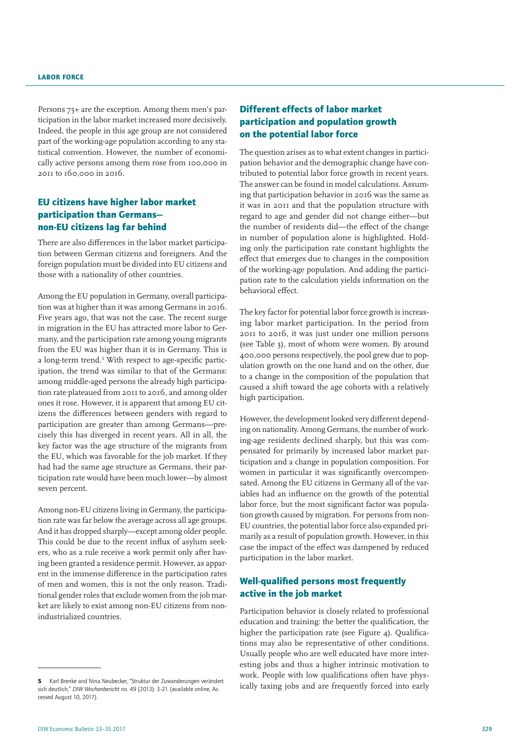Persons 75+ are the exception. Among them men's participation in the labor market increased more decisively. Indeed, the people in this age group are not considered part of the working-age population according to any statistical convention. However, the number of economically active persons among them rose from 100,000 in 2011 to 160,000 in 2016.

# EU citizens have higher labor market participation than Germans non-EU citizens lag far behind

There are also differences in the labor market participation between German citizens and foreigners. And the foreign population must be divided into EU citizens and those with a nationality of other countries.

Among the EU population in Germany, overall participation was at higher than it was among Germans in 2016. Five years ago, that was not the case. The recent surge in migration in the EU has attracted more labor to Germany, and the participation rate among young migrants from the EU was higher than it is in Germany. This is a long-term trend.<sup>5</sup> With respect to age-specific participation, the trend was similar to that of the Germans: among middle-aged persons the already high participation rate plateaued from 2011 to 2016, and among older ones it rose. However, it is apparent that among EU citizens the differences between genders with regard to participation are greater than among Germans—precisely this has diverged in recent years. All in all, the key factor was the age structure of the migrants from the EU, which was favorable for the job market. If they had had the same age structure as Germans, their participation rate would have been much lower—by almost seven percent.

Among non-EU citizens living in Germany, the participation rate was far below the average across all age groups. And it has dropped sharply—except among older people. This could be due to the recent influx of asylum seekers, who as a rule receive a work permit only after having been granted a residence permit. However, as apparent in the immense difference in the participation rates of men and women, this is not the only reason. Traditional gender roles that exclude women from the job market are likely to exist among non-EU citizens from nonindustrialized countries.

# Different effects of labor market participation and population growth on the potential labor force

The question arises as to what extent changes in participation behavior and the demographic change have contributed to potential labor force growth in recent years. The answer can be found in model calculations. Assuming that participation behavior in 2016 was the same as it was in 2011 and that the population structure with regard to age and gender did not change either—but the number of residents did—the effect of the change in number of population alone is highlighted. Holding only the participation rate constant highlights the effect that emerges due to changes in the composition of the working-age population. And adding the participation rate to the calculation yields information on the behavioral effect.

The key factor for potential labor force growth is increasing labor market participation. In the period from 2011 to 2016, it was just under one million persons (see Table 3), most of whom were women. By around 400,000 persons respectively, the pool grew due to population growth on the one hand and on the other, due to a change in the composition of the population that caused a shift toward the age cohorts with a relatively high participation.

However, the development looked very different depending on nationality. Among Germans, the number of working-age residents declined sharply, but this was compensated for primarily by increased labor market participation and a change in population composition. For women in particular it was significantly overcompensated. Among the EU citizens in Germany all of the variables had an influence on the growth of the potential labor force, but the most significant factor was population growth caused by migration. For persons from non-EU countries, the potential labor force also expanded primarily as a result of population growth. However, in this case the impact of the effect was dampened by reduced participation in the labor market.

# Well-qualified persons most frequently active in the job market

Participation behavior is closely related to professional education and training: the better the qualification, the higher the participation rate (see Figure 4). Qualifications may also be representative of other conditions. Usually people who are well educated have more interesting jobs and thus a higher intrinsic motivation to work. People with low qualifications often have physically taxing jobs and are frequently forced into early

<sup>5</sup> Karl Brenke and Nina Neubecker, "Struktur der Zuwanderungen verändert sich deutlich," *DIW Wochenbericht* no. 49 (2013): 3–21. [\(available online](http://www.diw.de/sixcms/detail.php/432785), Accessed August 10, 2017).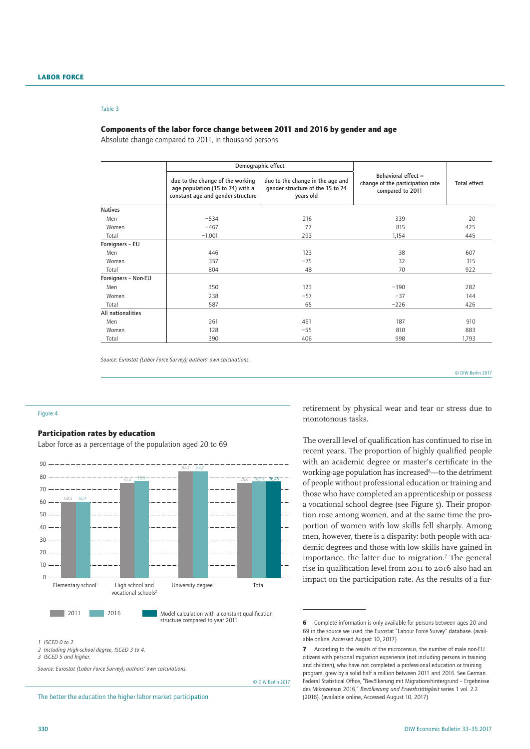#### Table 3

### Components of the labor force change between 2011 and 2016 by gender and age

Absolute change compared to 2011, in thousand persons

|                     |                                                                                                           | Demographic effect                                                                |                                                                             | <b>Total effect</b> |  |
|---------------------|-----------------------------------------------------------------------------------------------------------|-----------------------------------------------------------------------------------|-----------------------------------------------------------------------------|---------------------|--|
|                     | due to the change of the working<br>age population (15 to 74) with a<br>constant age and gender structure | due to the change in the age and<br>gender structure of the 15 to 74<br>years old | Behavioral effect =<br>change of the participation rate<br>compared to 2011 |                     |  |
| <b>Natives</b>      |                                                                                                           |                                                                                   |                                                                             |                     |  |
| Men                 | $-534$                                                                                                    | 216                                                                               | 339                                                                         | 20                  |  |
| Women               | $-467$                                                                                                    | 77                                                                                | 815                                                                         | 425                 |  |
| Total               | $-1,001$                                                                                                  | 293                                                                               | 1,154                                                                       | 445                 |  |
| Foreigners - EU     |                                                                                                           |                                                                                   |                                                                             |                     |  |
| Men                 | 446                                                                                                       | 123                                                                               | 38                                                                          | 607                 |  |
| Women               | 357                                                                                                       | $-75$                                                                             | 32                                                                          | 315                 |  |
| Total               | 804                                                                                                       | 48                                                                                | 70                                                                          | 922                 |  |
| Foreigners - Non-EU |                                                                                                           |                                                                                   |                                                                             |                     |  |
| Men                 | 350                                                                                                       | 123                                                                               | $-190$                                                                      | 282                 |  |
| Women               | 238                                                                                                       | $-57$                                                                             | $-37$                                                                       | 144                 |  |
| Total               | 587                                                                                                       | 65                                                                                | $-226$                                                                      | 426                 |  |
| All nationalities   |                                                                                                           |                                                                                   |                                                                             |                     |  |
| Men                 | 261                                                                                                       | 461                                                                               | 187                                                                         | 910                 |  |
| Women               | 128                                                                                                       | $-55$                                                                             | 810                                                                         | 883                 |  |
| Total               | 390                                                                                                       | 406                                                                               | 998                                                                         | 1,793               |  |

*Source: Eurostat (Labor Force Survey); authors' own calculations.*

© DIW Berlin 2017

#### Figure 4

## Participation rates by education

Labor force as a percentage of the population aged 20 to 69



structure compared to year 2011

© DIW Berlin 2017

*1 ISCED 0 to 2.*

*3 ISCED 5 and higher.*

*Source: Eurostat (Labor Force Survey); authors' own calculations.*

The better the education the higher labor market participation

retirement by physical wear and tear or stress due to monotonous tasks.

The overall level of qualification has continued to rise in recent years. The proportion of highly qualified people with an academic degree or master's certificate in the working-age population has increased<sup>6</sup>—to the detriment of people without professional education or training and those who have completed an apprenticeship or possess a vocational school degree (see Figure 5). Their proportion rose among women, and at the same time the proportion of women with low skills fell sharply. Among men, however, there is a disparity: both people with academic degrees and those with low skills have gained in importance, the latter due to migration.<sup>7</sup> The general rise in qualification level from 2011 to 2016 also had an impact on the participation rate. As the results of a fur-

*<sup>2</sup> Including High-school degree, ISCED 3 to 4.*

<sup>6</sup> Complete information is only available for persons between ages 20 and 69 in the source we used: the Eurostat "Labour Force Survey" database. ([avail](http://ec.europa.eu/eurostat/statistics-explained/index.php/EU_labour_force_survey_%25E2%2580%2593_data_and_publication)[able online](http://ec.europa.eu/eurostat/statistics-explained/index.php/EU_labour_force_survey_%25E2%2580%2593_data_and_publication), Accessed August 10, 2017)

<sup>7</sup> According to the results of the microcensus, the number of male non-EU citizens with personal migration experience (not including persons in training and children), who have not completed a professional education or training program, grew by a solid half a million between 2011 and 2016. See German Federal Statistical Office, "Bevölkerung mit Migrationshintergrund – Ergebnisse des Mikrozensus 2016," *Bevölkerung und Erwerbstätigkeit* series 1 vol. 2.2 (2016). [\(available online](https://www.destatis.de/DE/Publikationen/Thematisch/Bevoelkerung/MigrationIntegration/Migrationshintergrund.html), Accessed August 10, 2017)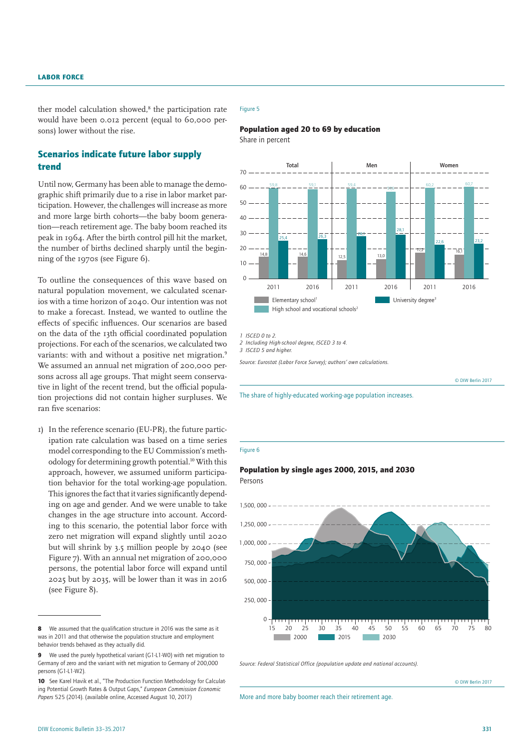ther model calculation showed,<sup>8</sup> the participation rate would have been 0.012 percent (equal to 60,000 persons) lower without the rise.

# Scenarios indicate future labor supply trend

Until now, Germany has been able to manage the demographic shift primarily due to a rise in labor market participation. However, the challenges will increase as more and more large birth cohorts—the baby boom generation—reach retirement age. The baby boom reached its peak in 1964. After the birth control pill hit the market, the number of births declined sharply until the beginning of the 1970s (see Figure 6).

To outline the consequences of this wave based on natural population movement, we calculated scenarios with a time horizon of 2040. Our intention was not to make a forecast. Instead, we wanted to outline the effects of specific influences. Our scenarios are based on the data of the 13th official coordinated population projections. For each of the scenarios, we calculated two variants: with and without a positive net migration.<sup>9</sup> We assumed an annual net migration of 200,000 persons across all age groups. That might seem conservative in light of the recent trend, but the official population projections did not contain higher surpluses. We ran five scenarios:

1) In the reference scenario (EU-PR), the future participation rate calculation was based on a time series model corresponding to the EU Commission's methodology for determining growth potential.10 With this approach, however, we assumed uniform participation behavior for the total working-age population. This ignores the fact that it varies significantly depending on age and gender. And we were unable to take changes in the age structure into account. According to this scenario, the potential labor force with zero net migration will expand slightly until 2020 but will shrink by 3.5 million people by 2040 (see Figure 7). With an annual net migration of 200,000 persons, the potential labor force will expand until 2025 but by 2035, will be lower than it was in 2016 (see Figure 8).

## Figure 5



Share in percent



*1 ISCED 0 to 2.* 

*2 Including High-school degree, ISCED 3 to 4.*

*3 ISCED 5 and higher.*

*Source: Eurostat (Labor Force Survey); authors' own calculations.*

© DIW Berlin 2017

## The share of highly-educated working-age population increases.

Figure 6

Persons

## Population by single ages 2000, 2015, and 2030



*Source: Federal Statistical Office (population update and national accounts).*

© DIW Berlin 2017

More and more baby boomer reach their retirement age.

<sup>8</sup> We assumed that the qualification structure in 2016 was the same as it was in 2011 and that otherwise the population structure and employment behavior trends behaved as they actually did.

<sup>9</sup> We used the purely hypothetical variant (G1-L1-W0) with net migration to Germany of zero and the variant with net migration to Germany of 200,000 persons (G1-L1-W2).

<sup>10</sup> See Karel Havik et al., "The Production Function Methodology for Calculating Potential Growth Rates & Output Gaps," *European Commission Economic Papers* 525 (2014). ([available online,](http://ec.europa.eu/economy_finance/publications/economic_paper/2014/pdf/ecp535_en.pdf) Accessed August 10, 2017)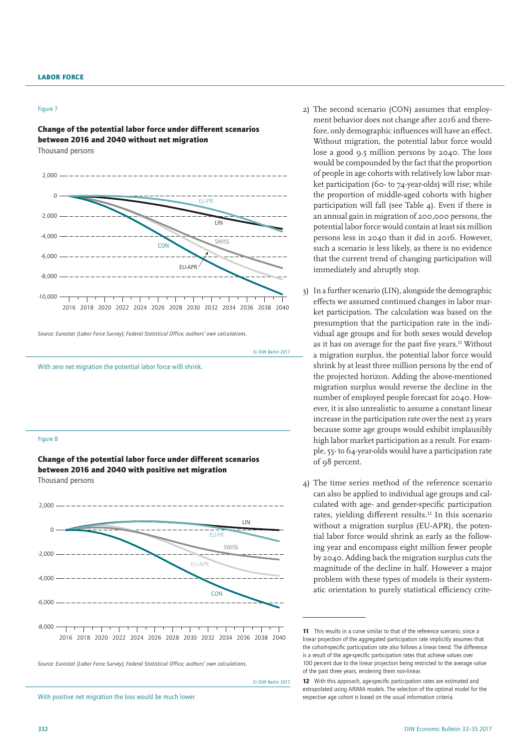#### Figure 7

Change of the potential labor force under different scenarios between 2016 and 2040 without net migration Thousand persons



*Source: Eurostat (Labor Force Survey); Federal Statistical Office; authors' own calculations.*



Change of the potential labor force under different scenarios between 2016 and 2040 with positive net migration Thousand persons



*Source: Eurostat (Labor Force Survey); Federal Statistical Office; authors' own calculations.*

© DIW Berlin 2017

With positive net migration the loss would be much lower.

- 2) The second scenario (CON) assumes that employment behavior does not change after 2016 and therefore, only demographic influences will have an effect. Without migration, the potential labor force would lose a good 9.5 million persons by 2040. The loss would be compounded by the fact that the proportion of people in age cohorts with relatively low labor market participation (60- to 74-year-olds) will rise; while the proportion of middle-aged cohorts with higher participation will fall (see Table 4). Even if there is an annual gain in migration of 200,000 persons, the potential labor force would contain at least six million persons less in 2040 than it did in 2016. However, such a scenario is less likely, as there is no evidence that the current trend of changing participation will immediately and abruptly stop.
- 3) In a further scenario (LIN), alongside the demographic effects we assumed continued changes in labor market participation. The calculation was based on the presumption that the participation rate in the individual age groups and for both sexes would develop as it has on average for the past five years.<sup>11</sup> Without a migration surplus, the potential labor force would shrink by at least three million persons by the end of the projected horizon. Adding the above-mentioned migration surplus would reverse the decline in the number of employed people forecast for 2040. However, it is also unrealistic to assume a constant linear increase in the participation rate over the next 23 years because some age groups would exhibit implausibly high labor market participation as a result. For example, 55- to 64-year-olds would have a participation rate of 98 percent.
- 4) The time series method of the reference scenario can also be applied to individual age groups and calculated with age- and gender-specific participation rates, yielding different results.12 In this scenario without a migration surplus (EU-APR), the potential labor force would shrink as early as the following year and encompass eight million fewer people by 2040. Adding back the migration surplus cuts the magnitude of the decline in half. However a major problem with these types of models is their systematic orientation to purely statistical efficiency crite-

<sup>11</sup> This results in a curve similar to that of the reference scenario, since a linear projection of the aggregated participation rate implicitly assumes that the cohort-specific participation rate also follows a linear trend. The difference is a result of the age-specific participation rates that achieve values over 100 percent due to the linear projection being restricted to the average value of the past three years, rendering them non-linear.

<sup>12</sup> With this approach, age-specific participation rates are estimated and extrapolated using ARIMA models. The selection of the optimal model for the respective age cohort is based on the usual information criteria.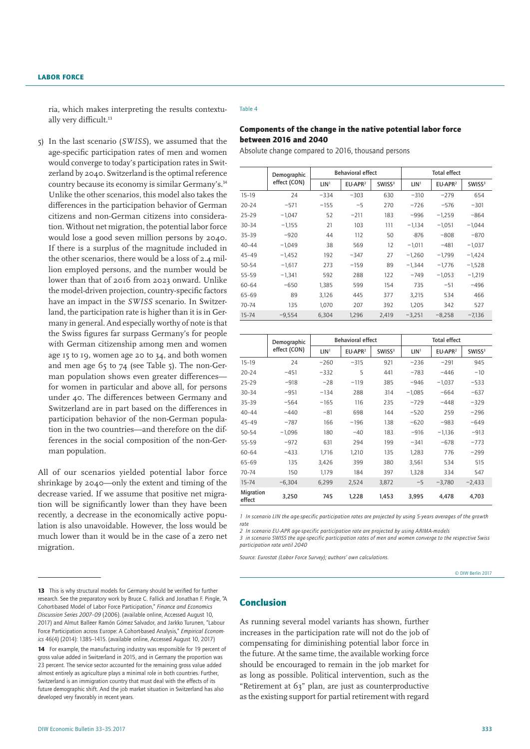ria, which makes interpreting the results contextually very difficult.<sup>13</sup>

5) In the last scenario (*SWISS*), we assumed that the age-specific participation rates of men and women would converge to today's participation rates in Switzerland by 2040. Switzerland is the optimal reference country because its economy is similar Germany's.14 Unlike the other scenarios, this model also takes the differences in the participation behavior of German citizens and non-German citizens into consideration. Without net migration, the potential labor force would lose a good seven million persons by 2040. If there is a surplus of the magnitude included in the other scenarios, there would be a loss of 2.4 million employed persons, and the number would be lower than that of 2016 from 2023 onward. Unlike the model-driven projection, country-specific factors have an impact in the *SWISS* scenario. In Switzerland, the participation rate is higher than it is in Germany in general. And especially worthy of note is that the Swiss figures far surpass Germany's for people with German citizenship among men and women age 15 to 19, women age 20 to 34, and both women and men age 65 to 74 (see Table 5). The non-German population shows even greater differences for women in particular and above all, for persons under 40. The differences between Germany and Switzerland are in part based on the differences in participation behavior of the non-German population in the two countries—and therefore on the differences in the social composition of the non-German population.

All of our scenarios yielded potential labor force shrinkage by 2040—only the extent and timing of the decrease varied. If we assume that positive net migration will be significantly lower than they have been recently, a decrease in the economically active population is also unavoidable. However, the loss would be much lower than it would be in the case of a zero net migration.

#### Table 4

# Components of the change in the native potential labor force between 2016 and 2040

Absolute change compared to 2016, thousand persons

| Demographic |              |                  | <b>Behavioral effect</b> |                    | <b>Total effect</b> |           |                    |  |
|-------------|--------------|------------------|--------------------------|--------------------|---------------------|-----------|--------------------|--|
|             | effect (CON) | LIN <sup>1</sup> | EU-APR <sup>2</sup>      | SWISS <sup>3</sup> | LIN <sup>1</sup>    | $EU-APR2$ | SWISS <sup>3</sup> |  |
| $15-19$     | 24           | $-334$           | $-303$                   | 630                | $-310$              | $-279$    | 654                |  |
| $20 - 24$   | $-571$       | $-155$           | $-5$                     | 270                | $-726$              | $-576$    | $-301$             |  |
| $25 - 29$   | $-1,047$     | 52               | $-211$                   | 183                | $-996$              | $-1,259$  | $-864$             |  |
| $30 - 34$   | $-1,155$     | 21               | 103                      | 111                | $-1,134$            | $-1.051$  | $-1,044$           |  |
| $35 - 39$   | $-920$       | 44               | 112                      | 50                 | $-876$              | $-808$    | $-870$             |  |
| $40 - 44$   | $-1.049$     | 38               | 569                      | 12                 | $-1,011$            | $-481$    | $-1,037$           |  |
| $45 - 49$   | $-1,452$     | 192              | $-347$                   | 27                 | $-1,260$            | $-1,799$  | $-1,424$           |  |
| $50 - 54$   | $-1,617$     | 273              | $-159$                   | 89                 | $-1,344$            | $-1,776$  | $-1,528$           |  |
| 55-59       | $-1.341$     | 592              | 288                      | 122                | $-749$              | $-1,053$  | $-1,219$           |  |
| 60-64       | $-650$       | 1.385            | 599                      | 154                | 735                 | $-51$     | $-496$             |  |
| 65-69       | 89           | 3,126            | 445                      | 377                | 3,215               | 534       | 466                |  |
| 70-74       | 135          | 1,070            | 207                      | 392                | 1,205               | 342       | 527                |  |
| $15 - 74$   | $-9,554$     | 6,304            | 1,296                    | 2,419              | $-3,251$            | $-8,258$  | $-7,136$           |  |

|                     | Demographic  |                  | <b>Behavioral effect</b> |                    | <b>Total effect</b> |           |                    |
|---------------------|--------------|------------------|--------------------------|--------------------|---------------------|-----------|--------------------|
|                     | effect (CON) | LIN <sup>1</sup> | EU-APR <sup>2</sup>      | SWISS <sup>3</sup> | LIN <sup>1</sup>    | $EU-APR2$ | SWISS <sup>3</sup> |
| $15-19$             | 24           | $-260$           | $-315$                   | 921                | $-236$              | $-291$    | 945                |
| $20 - 24$           | $-451$       | $-332$           | 5                        | 441                | $-783$              | $-446$    | $-10$              |
| $25 - 29$           | $-918$       | $-28$            | $-119$                   | 385                | $-946$              | $-1,037$  | $-533$             |
| $30 - 34$           | $-951$       | $-134$           | 288                      | 314                | $-1,085$            | $-664$    | $-637$             |
| $35 - 39$           | $-564$       | $-165$           | 116                      | 235                | $-729$              | $-448$    | $-329$             |
| $40 - 44$           | $-440$       | $-81$            | 698                      | 144                | $-520$              | 259       | $-296$             |
| $45 - 49$           | $-787$       | 166              | $-196$                   | 138                | $-620$              | $-983$    | $-649$             |
| $50 - 54$           | $-1,096$     | 180              | $-40$                    | 183                | $-916$              | $-1,136$  | $-913$             |
| $55 - 59$           | $-972$       | 631              | 294                      | 199                | $-341$              | $-678$    | $-773$             |
| 60-64               | $-433$       | 1.716            | 1.210                    | 135                | 1.283               | 776       | $-299$             |
| 65-69               | 135          | 3,426            | 399                      | 380                | 3,561               | 534       | 515                |
| $70 - 74$           | 150          | 1,179            | 184                      | 397                | 1,328               | 334       | 547                |
| $15 - 74$           | $-6.304$     | 6,299            | 2,524                    | 3,872              | $-5$                | $-3.780$  | $-2,433$           |
| Migration<br>effect | 3,250        | 745              | 1,228                    | 1.453              | 3,995               | 4.478     | 4,703              |

*1 In scenario LIN the age-specific participation rates are projected by using 5-years averages of the growth rate*

*2 In scenario EU-APR age-specific participation rate are projected by using ARIMA-models*

*3 in scenario SWISS the age-specific participation rates of men and women converge to the respective Swiss participation rate until 2040*

*Source: Eurostat (Labor Force Survey); authors' own calculations.*

© DIW Berlin 2017

# Conclusion

As running several model variants has shown, further increases in the participation rate will not do the job of compensating for diminishing potential labor force in the future. At the same time, the available working force should be encouraged to remain in the job market for as long as possible. Political intervention, such as the "Retirement at 63" plan, are just as counterproductive as the existing support for partial retirement with regard

<sup>13</sup> This is why structural models for Germany should be verified for further research. See the preparatory work by Bruce C. Fallick and Jonathan F. Pingle, "A Cohort-based Model of Labor Force Participation," *Finance and Economics Discussion Series 2007–09* (2006). [\(available online,](https://www.federalreserve.gov/pubs/feds/2007/200709/200709pap.pdf) Accessed August 10, 2017) and Almut Balleer Ramón Gómez Salvador, and Jarkko Turunen, "Labour Force Participation across Europe: A Cohort-based Analysis," *Empirical Economics* 46(4) (2014): 1385–1415. ([available online,](https://www.ecb.europa.eu/pub/pdf/scpwps/ecbwp1049.pdf?ab798db3ab622da41537b986f4038349) Accessed August 10, 2017)

<sup>14</sup> For example, the manufacturing industry was responsible for 19 percent of gross value added in Switzerland in 2015, and in Germany the proportion was 23 percent. The service sector accounted for the remaining gross value added almost entirely as agriculture plays a minimal role in both countries. Further, Switzerland is an immigration country that must deal with the effects of its future demographic shift. And the job market situation in Switzerland has also developed very favorably in recent years.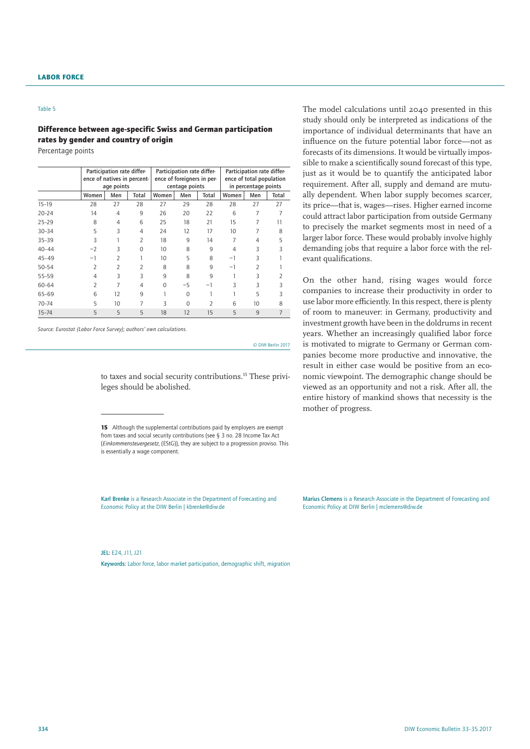#### Table 5

# Difference between age-specific Swiss and German participation rates by gender and country of origin

Percentage points

|           | Participation rate differ-<br>ence of natives in percent-<br>age points |                          |                | Participation rate differ-<br>ence of foreigners in per-<br>centage points |          |                          | Participation rate differ-<br>ence of total population<br>in percentage points |                          |       |
|-----------|-------------------------------------------------------------------------|--------------------------|----------------|----------------------------------------------------------------------------|----------|--------------------------|--------------------------------------------------------------------------------|--------------------------|-------|
|           | Women                                                                   | Men                      | Total          | Women                                                                      | Men      | Total                    | Women                                                                          | Men                      | Total |
| $15 - 19$ | 28                                                                      | 27                       | 28             | 27                                                                         | 29       | 28                       | 28                                                                             | 27                       | 27    |
| $20 - 24$ | 14                                                                      | $\overline{4}$           | 9              | 26                                                                         | 20       | 22                       | 6                                                                              | 7                        | 7     |
| $25 - 29$ | 8                                                                       | 4                        | 6              | 25                                                                         | 18       | 21                       | 15                                                                             |                          | 11    |
| $30 - 34$ | 5                                                                       | 3                        | 4              | 24                                                                         | 12       | 17                       | 10                                                                             | 7                        | 8     |
| $35 - 39$ | 3                                                                       |                          | $\overline{2}$ | 18                                                                         | 9        | 14                       | 7                                                                              | 4                        | 5     |
| $40 - 44$ | $-2$                                                                    | 3                        | 0              | 10                                                                         | 8        | 9                        | 4                                                                              | 3                        | 3     |
| $45 - 49$ | $-1$                                                                    | $\overline{2}$           |                | 10                                                                         | 5        | 8                        | $-1$                                                                           | 3                        |       |
| 50-54     | $\overline{\phantom{a}}$                                                | $\overline{\mathcal{L}}$ | 2              | 8                                                                          | 8        | 9                        | $-1$                                                                           | $\overline{\phantom{a}}$ |       |
| $55 - 59$ | 4                                                                       | 3                        | 3              | 9                                                                          | 8        | 9                        |                                                                                | 3                        |       |
| 60-64     | 2                                                                       | 7                        | 4              | $\Omega$                                                                   | $-5$     | -1                       | ξ                                                                              | 3                        | 3     |
| 65-69     | 6                                                                       | 12                       | 9              |                                                                            | $\Omega$ |                          |                                                                                | 5                        | 3     |
| $70 - 74$ | 5                                                                       | 10                       |                | 3                                                                          | $\Omega$ | $\overline{\phantom{a}}$ | 6                                                                              | 10                       | 8     |
| $15 - 74$ | 5                                                                       | 5                        | 5              | 18                                                                         | 12       | 15                       | 5                                                                              | 9                        |       |

*Source: Eurostat (Labor Force Survey); authors' own calculations.*

© DIW Berlin 2017

to taxes and social security contributions.<sup>15</sup> These privileges should be abolished.

Karl Brenke is a Research Associate in the Department of Forecasting and Economic Policy at the DIW Berlin | kbrenke@diw.de

JEL: E24, J11, J21

Keywords: Labor force, labor market participation, demographic shift, migration

The model calculations until 2040 presented in this study should only be interpreted as indications of the importance of individual determinants that have an influence on the future potential labor force—not as forecasts of its dimensions. It would be virtually impossible to make a scientifically sound forecast of this type, just as it would be to quantify the anticipated labor requirement. After all, supply and demand are mutually dependent. When labor supply becomes scarcer, its price—that is, wages—rises. Higher earned income could attract labor participation from outside Germany to precisely the market segments most in need of a larger labor force. These would probably involve highly demanding jobs that require a labor force with the relevant qualifications.

On the other hand, rising wages would force companies to increase their productivity in order to use labor more efficiently. In this respect, there is plenty of room to maneuver: in Germany, productivity and investment growth have been in the doldrums in recent years. Whether an increasingly qualified labor force is motivated to migrate to Germany or German companies become more productive and innovative, the result in either case would be positive from an economic viewpoint. The demographic change should be viewed as an opportunity and not a risk. After all, the entire history of mankind shows that necessity is the mother of progress.

Marius Clemens is a Research Associate in the Department of Forecasting and Economic Policy at DIW Berlin | mclemens@diw.de

<sup>15</sup> Although the supplemental contributions paid by employers are exempt from taxes and social security contributions (see § 3 no. 28 Income Tax Act (*Einkommensteuergesetz*, (EStG)), they are subject to a progression proviso. This is essentially a wage component.